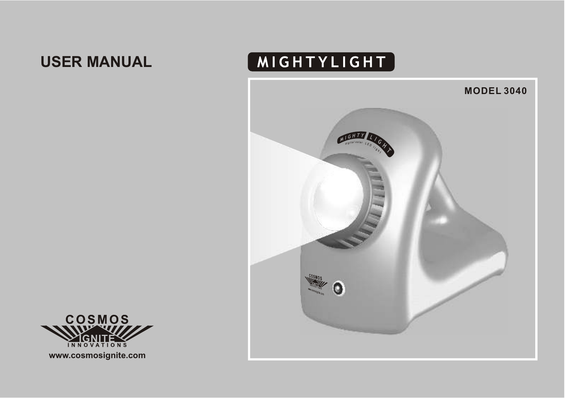# **USER MANUAL**

# MIGHTYLIGHT





**www.cosmosignite.com**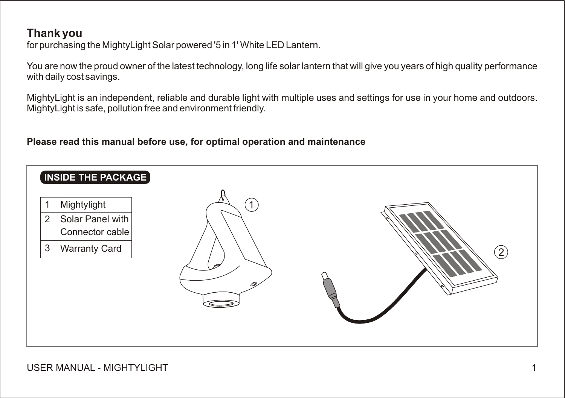# **Thank you**

for purchasing the MightyLight Solar powered '5 in 1' White LED Lantern.

You are now the proud owner of the latest technology, long life solar lantern that will give you years of high quality performance with daily cost savings.

MightyLight is an independent, reliable and durable light with multiple uses and settings for use in your home and outdoors. MightyLight is safe, pollution free and environment friendly.

### **Please read this manual before use, for optimal operation and maintenance**

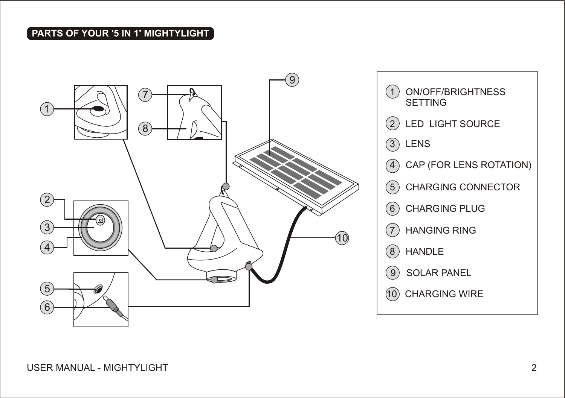# **PARTS OF YOUR '5 IN 1' MIGHTYLIGHT**



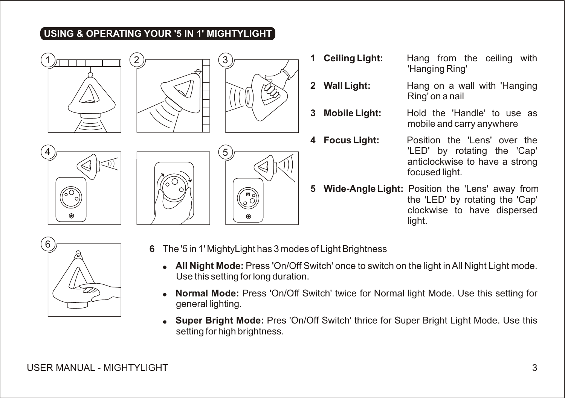# **USING & OPERATING YOUR '5 IN 1' MIGHTYLIGHT**







- **1 Ceiling Light:** Hang from the ceiling with 'Hanging Ring'
- **2 Wall Light:** Hang on a wall with 'Hanging Ring' on a nail
- **3 Mobile Light:** Hold the 'Handle' to use as mobile and carry anywhere
- **4 Focus Light:** Position the 'Lens' over the 'LED' by rotating the 'Cap' anticlockwise to have a strong focused light.
- **5 Wide-Angle Light:** Position the 'Lens' away from the 'LED' by rotating the 'Cap' clockwise to have dispersed light.



- **6** The '5 in 1' MightyLight has 3 modes of Light Brightness
	- **All Night Mode:** Press 'On/Off Switch' once to switch on the light in All Night Light mode. Use this setting for long duration.
	- **Normal Mode:** Press 'On/Off Switch' twice for Normal light Mode. Use this setting for general lighting.
	- **Super Bright Mode:** Pres 'On/Off Switch' thrice for Super Bright Light Mode. Use this setting for high brightness.



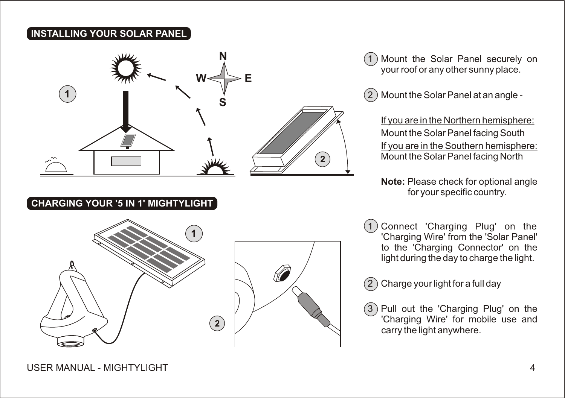#### **INSTALLING YOUR SOLAR PANEL**



Mount the Solar Panel securely on your roof or any other sunny place.

 $(2)$  Mount the Solar Panel at an angle -

If you are in the Northern hemisphere: Mount the Solar Panel facing South If you are in the Southern hemisphere: Mount the Solar Panel facing North

**Note:** Please check for optional angle for your specific country.

Connect 'Charging Plug' on the 'Charging Wire' from the 'Solar Panel' to the 'Charging Connector' on the light during the day to charge the light.

2 Charge your light for a full day

Pull out the 'Charging Plug' on the 'Charging Wire' for mobile use and carry the light anywhere.

### **CHARGING YOUR '5 IN 1' MIGHTYLIGHT**



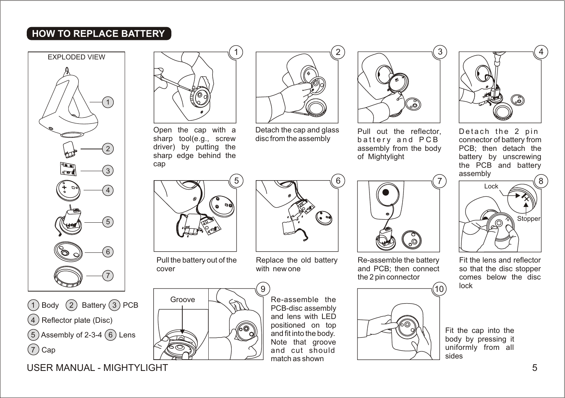# **HOW TO REPLACE BATTERY**





USER MANUAL - MIGHTYLIGHT 5



Open the cap with a sharp tool(e.g., screw driver) by putting the sharp edge behind the cap



Pull the battery out of the cover



Re-assemble the PCB-disc assembly and lens with LED positioned on top and fit into the body. Note that groove and cut should match as shown



3

Pull out the reflector, battery and PCB assembly from the body of Mightylight



Re-assemble the battery and PCB; then connect the 2 pin connector





Detach the 2 pin connector of battery from PCB; then detach the battery by unscrewing the PCB and battery assembly



Fit the lens and reflector so that the disc stopper comes below the disc lock

Fit the cap into the body by pressing it uniformly from all sides



6

2

Replace the old battery with new one

Detach the cap and glass disc from the assembly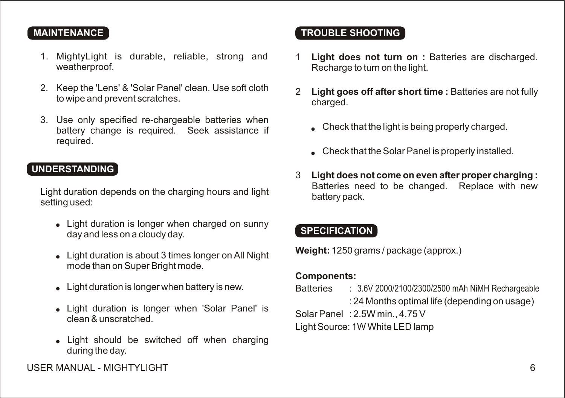#### **MAINTENANCE**

- 1. MightyLight is durable, reliable, strong and weatherproof.
- 2. Keep the 'Lens' & 'Solar Panel' clean. Use soft cloth to wipe and prevent scratches.
- 3. Use only specified re-chargeable batteries when battery change is required. Seek assistance if required.

#### **UNDERSTANDING**

Light duration depends on the charging hours and light setting used:

- Light duration is longer when charged on sunny day and less on a cloudy day.
- Light duration is about 3 times longer on All Night mode than on Super Bright mode.
- Light duration is longer when battery is new.
- Light duration is longer when 'Solar Panel' is clean & unscratched.
- Light should be switched off when charging during the day.

# **TROUBLE SHOOTING**

- 1 **Light does not turn on :** Batteries are discharged. Recharge to turn on the light.
- 2 **Light goes off after short time :** Batteries are not fully charged.
	- Check that the light is being properly charged.
	- Check that the Solar Panel is properly installed.
- 3 **Light does not come on even after proper charging :** Batteries need to be changed. Replace with new battery pack.

### **SPECIFICATION**

**Weight:** 1250 grams / package (approx.)

#### **Components:**

Batteries : 3.6V 2000/2100/2300/2500 mAh NiMH Rechargeable

: 24 Months optimal life (depending on usage)

Solar Panel : 2.5W min., 4.75 V

Light Source: 1W White LED lamp

USER MANUAL - MIGHTYLIGHT